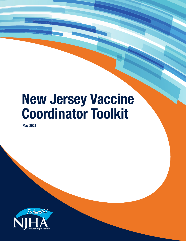# **New Jersey Vaccine Coordinator Toolkit**

May 2021

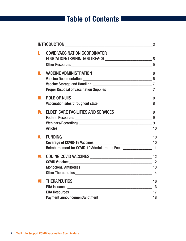# **Table of Contents**

|     |                                                                            | $\overline{\phantom{a}}$ 3 |
|-----|----------------------------------------------------------------------------|----------------------------|
| L.  | <b>COVID VACCINATION COORDINATOR</b>                                       |                            |
|     |                                                                            |                            |
|     |                                                                            |                            |
| Ш.  |                                                                            |                            |
|     |                                                                            |                            |
|     |                                                                            |                            |
|     |                                                                            |                            |
| Ш.  | <b>ROLE OF NJIIS</b>                                                       |                            |
|     |                                                                            |                            |
| IV. |                                                                            |                            |
|     |                                                                            |                            |
|     |                                                                            |                            |
|     |                                                                            |                            |
| V.  |                                                                            |                            |
|     |                                                                            |                            |
|     | Reimbursement for COVID-19 Administration Fees _________________________11 |                            |
| VI. |                                                                            |                            |
|     |                                                                            |                            |
|     |                                                                            |                            |
|     |                                                                            |                            |
|     |                                                                            |                            |
|     |                                                                            |                            |
|     |                                                                            |                            |
|     |                                                                            |                            |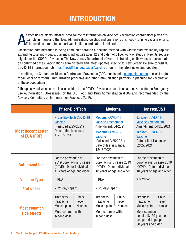# **INTRODUCTION**

A s vaccine recipients' most-trusted source of information on vaccines, vaccination coordinators play a critical role in managing the flow, administration, logistics and operations of smooth-running vaccine efforts. This toolkit is aimed to support vaccination coordinators in this role.

Vaccination administration is being conducted through a phasing method with widespread availability rapidly expanding to all individuals. Currently, individuals ages 12 and older who live, work or study in New Jersey are eligible for the COVID-19 vaccine. The New Jersey Department of Health is tracking on its website current data on confirmed cases, vaccinations administered and latest updates specific to New Jersey. Be sure to visit NJ COVID-19 information hub https://covid19.nj.gov/pages/vaccine often for the latest news and updates.

In addition, the Centers for Disease Control and Prevention (CDC) published a [companion guide](https://www.cdc.gov/vaccines/covid-19/implementation-strategies.html) to assist state, tribal, local or territorial immunization programs and other immunization partners in planning for vaccination of these populations.

Although several vaccines are in clinical trial, three COVID-19 vaccines have been authorized under an Emergency Use Authorization (EUA) issued by the U.S. Food and Drug Administration (FDA) and recommended by the Advisory Committee on Immunization Practices (ACIP).

|                                           | <b>Pfizer-BioNTech</b>                                                                                                    | <b>Moderna</b>                                                                                                                                                            | Janssen/J&J                                                                                                                                                                     |
|-------------------------------------------|---------------------------------------------------------------------------------------------------------------------------|---------------------------------------------------------------------------------------------------------------------------------------------------------------------------|---------------------------------------------------------------------------------------------------------------------------------------------------------------------------------|
| <b>Most Recent Letter</b><br>of EUA (PDF) | <b>Pfizer-BioNTech COVID-19</b><br><b>Vaccine</b><br>(Reissued 2/25/2021)<br>Date of first issuance:<br>12/11/2020        | Moderna COVID-19<br><b>Vaccine Amendment</b><br>Amendment: 04/2021<br>Moderna COVID-19<br><b>Vaccine</b><br>(Reissued 2/25/2021)<br>Date of first issuance:<br>12/18/2020 | <b>Janssen COVID-19</b><br><b>Vaccine Amendment</b><br>Amendment: 04/23/2021<br><b>Janssen COVID-19</b><br><b>Vaccine</b><br>Date of first issuance:<br>02/27/2021              |
| <b>Authorized Use</b>                     | For the prevention of<br>2019 Coronavirus Disease<br>(COVID-19) for individuals<br>12 years of age and older              | For the prevention of<br>Coronavirus Disease 2019<br>(COVID-19) for individuals<br>18 years of age and older                                                              | For the prevention of<br>Coronavirus Disease 2019<br>(COVID-19) for individuals<br>18 years of age and older                                                                    |
| <b>Vaccine Type</b>                       | <b>mRNA</b>                                                                                                               | <b>mRNA</b>                                                                                                                                                               | <b>Viral Vector</b>                                                                                                                                                             |
| # of doses                                | 2, 21 days apart                                                                                                          | 2, 28 days apart                                                                                                                                                          | 1                                                                                                                                                                               |
| <b>Most common</b><br>side effects        | <b>Chills</b><br><b>Tiredness</b><br>Fever<br>Headache<br>Muscle pain<br><b>Nausea</b><br>More common with<br>second dose | <b>Chills</b><br><b>Tiredness</b><br>Fever<br>Headache<br>Muscle pain<br><b>Nausea</b><br>More common with<br>second dose                                                 | <b>Chills</b><br><b>Tiredness</b><br>Headache<br>Fever<br>Muscle pain<br><b>Nausea</b><br>More common in<br>people 18-59 years old<br>compared to people<br>60 years and older. |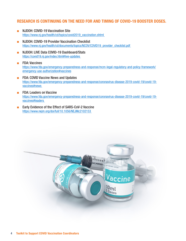#### **RESEARCH IS CONTINUING ON THE NEED FOR AND TIMING OF COVID-19 BOOSTER DOSES.**

- NJDOH: COVID-19 Vaccination Site https://www.nj.gov/health/cd/topics/covid2019\_vaccination.shtml
- NJDOH: COVID-19 Provider Vaccination Checklist https://www.nj.gov/health/cd/documents/topics/NCOV/COVID19\_provider\_checklist.pdf
- NJDOH: LIVE Data COVID-19 Dashboard/Stats https://covid19.nj.gov/index.html#live-updates
- FDA: Vaccines [https://www.fda.gov/emergency-preparedness-and-response/mcm-legal-regulatory-and-policy-framework/](https://www.fda.gov/emergency-preparedness-and-response/mcm-legal-regulatory-and-policy-framework/emergency-use-authorization#vaccines) emergency-use-authorization#vaccines
- FDA: COVID Vaccine News and Updates https://www.fda.gov/emergency-preparedness-and-response/coronavirus-disease-2019-covid-19/covid-19 vaccines#news
- FDA: Leaders on Vaccine https://www.fda.gov/emergency-preparedness-and-response/coronavirus-disease-2019-covid-19/covid-19 vaccines#leaders
- Early Evidence of the Effect of SARS-CoV-2 Vaccine https://www.nejm.org/doi/full/10.1056/NEJMc2102153

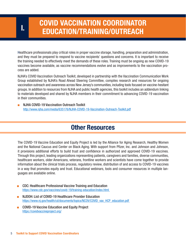# **COVID VACCINATION COORDINATOR EDUCATION/TRAINING/OUTREACH I.**

Healthcare professionals play critical roles in proper vaccine storage, handling, preparation and administration, and they must be prepared to respond to vaccine recipients' questions and concerns. It is important to receive the training needed to effectively meet the demands of these roles. Training must be ongoing as new COVID-19 vaccines become available, as vaccine recommendations evolve and as improvements to the vaccination process are added.

NJHA's COVID Vaccination Outreach Toolkit, developed in partnership with the Vaccination Communication Work Group established by NJHA's Road Ahead Steering Committee, compiles research and resources for ongoing vaccination outreach and awareness across New Jersey's communities, including tools focused on vaccine-hesitant groups. In addition to resources from NJHA and public health agencies, this toolkit includes an addendum linking to materials developed and shared by NJHA members in their commitment to advancing COVID-19 vaccination in their communities.

NJHA COVID-19 Vaccination Outreach Toolkit http://www.njha.com/media/635176/NJHA-COVID-19-Vaccination-Outreach-Toolkit.pdf

#### **Other Resources**

The COVID-19 Vaccine Education and Equity Project is led by the Alliance for Aging Research, Healthy Women and the National Caucus and Center on Black Aging. With support from Pfizer, Inc. and Johnson and Johnson, it provisions additional efforts to build trust and confidence in authorized and approved COVID-19 vaccines. Through this project, leading organizations representing patients, caregivers and families, diverse communities, healthcare workers, older Americans, veterans, frontline workers and scientists have come together to provide information about the clinical trials process, regulatory review, distribution of and access to COVID-19 vaccines in a way that promotes equity and trust. Educational webinars, tools and consumer resources in multiple languages are available online.

- CDC: Healthcare Professional Vaccine Training and Education https://www.cdc.gov/vaccines/covid-19/training-education/index.html
- NJDOH: List of COVID-19 Healthcare Provider Education https://www.nj.gov/health/cd/documents/topics/NCOV/COVID\_vax\_HCP\_education.pdf
- COVID-19 Vaccine Education and Equity Project https://covidvaccineproject.org/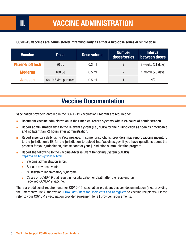# **II. VACCINE ADMINISTRATION**

| COVID-19 vaccines are administered intramuscularly as either a two-dose series or single dose. |  |
|------------------------------------------------------------------------------------------------|--|
|------------------------------------------------------------------------------------------------|--|

| <b>Vaccine</b>         | <b>Dose</b>                      | Dose volume | <b>Number</b><br>doses/series | <b>Interval</b><br>between doses |
|------------------------|----------------------------------|-------------|-------------------------------|----------------------------------|
| <b>Pfizer-BioNTech</b> | $30 \mu g$                       | $0.3$ ml    |                               | 3 weeks (21 days)                |
| <b>Moderna</b>         | $100 \mu g$                      | $0.5$ ml    | $\mathfrak{D}$                | month (28 days)                  |
| Janssen                | $5\times10^{10}$ viral particles | $0.5$ ml    |                               | N/A                              |

### **Vaccine Documentation**

Vaccination providers enrolled in the COVID-19 Vaccination Program are required to:

- Document vaccine administration in their medical record systems within 24 hours of administration.
- Report administration data to the relevant system (i.e., NJIIS) for their jurisdiction as soon as practicable and no later than 72 hours after administration.
- Report inventory daily using Vaccines.gov. In some jurisdictions, providers may report vaccine inventory to the jurisdiction's IIS for the jurisdiction to upload into Vaccines.gov. If you have questions about the process for your jurisdiction, please contact your jurisdiction's immunization program.
- Report the following to the Vaccine Adverse Event Reporting System (VAERS) https://vaers.hhs.gov/index.html:
	- **•** Vaccine administration errors
	- **o** Serious adverse events
	- **•** Multisystem inflammatory syndrome
	- **•** Cases of COVID-19 that result in hospitalization or death after the recipient has received COVID-19 vaccine.

There are additional requirements for COVID-19 vaccination providers besides documentation (e.g., providing the Emergency Use Authorizati[on \(EUA\) Fact Sheet for Recipients and Caregivers](https://www.cdc.gov/vaccines/covid-19/eua/index.html) to vaccine recipients). Please refer to your COVID-19 vaccination provider agreement for all provider requirements.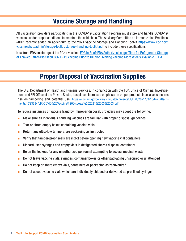#### **Vaccine Storage and Handling**

All vaccination providers participating in the COVID-19 Vaccination Program must store and handle COVID-19 vaccines under proper conditions to maintain the cold chain. The Advisory Committee on Immunization Practices [\(ACIP\) recently added an addendum to the 2021 Vaccine Storage and Handling Toolkit https://www.cdc.gov/](https://www.cdc.gov/vaccines/hcp/admin/storage/toolkit/storage-handling-toolkit.pdf) vaccines/hcp/admin/storage/toolkit/storage-handling-toolkit.pdf to include these specifications.

[New from FDA on storage of the Pfizer vaccine: FDA In Brief: FDA Authorizes Longer Time for Refrigerator Storage](https://www.fda.gov/news-events/press-announcements/fda-brief-fda-authorizes-longer-time-refrigerator-storage-thawed-pfizer-biontech-covid-19-vaccine)  of Thawed Pfizer-BioNTech COVID-19 Vaccine Prior to Dilution, Making Vaccine More Widely Available | FDA

#### **Proper Disposal of Vaccination Supplies**

The U.S. Department of Health and Humans Services, in conjunction with the FDA Office of Criminal Investigations and FBI Office of the Private Sector, has placed increased emphasis on proper product disposal as concerns rise on tampering and potential use. https://content.govdelivery.com/attachments/USFDA/2021/03/15/file attachments/1723684/LIR-COVID%20Vaccine%20Disposal%202021%2003%2003.pdf

To reduce instances of vaccine fraud by improper disposal, providers may adopt the following:

- Make sure all individuals handling vaccines are familiar with proper disposal quidelines
- Tear or shred empty boxes containing vaccine vials
- Return any ultra-low temperature packaging as instructed
- Verify that tamper-proof seals are intact before opening new vaccine vial containers
- Discard used syringes and empty vials in designated sharps disposal containers
- Be on the lookout for any unauthorized personnel attempting to access medical waste
- Do not leave vaccine vials, syringes, container boxes or other packaging unsecured or unattended
- Do not keep or share empty vials, containers or packaging as "souvenirs"
- Do not accept vaccine vials which are individually shipped or delivered as pre-filled syringes.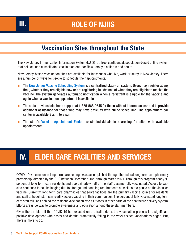# **III. ROLE OF NJIIS**

#### **Vaccination Sites throughout the State**

The New Jersey Immunization Information System (NJIIS) is a free, confidential, population-based online system that collects and consolidates vaccination data for New Jersey's children and adults.

New Jersey-based vaccination sites are available for individuals who live, work or study in New Jersey. There are a number of ways for people to schedule their appointments:

- T[he New Jersey Vaccine Scheduling System is](https://covidvaccine.nj.gov/en-US/) a centralized state-run system. Users may register at any time, whether they are eligible now or are registering in advance of when they are eligible to receive the vaccine. The system generates automatic notification when a registrant is eligible for the vaccine and again when a vaccination appointment is available.
- The state provides telephone support at 1-855-568-0545 for those without internet access and to provide additional assistance for those who may have difficulty with online scheduling. The appointment call center is available 8 a.m. to 8 p.m.
- The state's [Vaccine Appointment Finder](https://covid19.nj.gov/pages/finder) assists individuals in searching for sites with available appointments.

# **IV. ELDER CARE FACILITIES AND SERVICES**

COVID-19 vaccination in long term care settings was accomplished through the federal long term care pharmacy partnership, directed by the CDC between December 2020 through March 2021. Through this program nearly 90 percent of long term care residents and approximately half of the staff became fully vaccinated. Access to vaccine continues to be challenging due to storage and handling requirements as well as the pause on the Janssen vaccine. Currently, long term care pharmacies that serve facilities are the primary vaccine source for residents and staff although staff can readily access vaccine in their communities. The percent of fully vaccinated long term care staff still lags behind the resident vaccination rate as it does in other parts of the healthcare delivery system. Efforts are underway to promote awareness and education among these staff members.

Given the terrible toll that COVID-19 has exacted on the frail elderly, the vaccination process is a significant positive development with cases and deaths dramatically falling in the weeks since vaccinations began. But, there is more to do.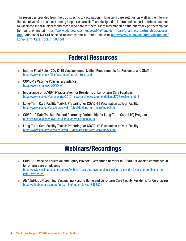The resources provided from the CDC specific to vaccination in long term care settings, as well as the information about vaccine hesitancy among long term care staff, are designed to inform and support efforts to continue to vaccinate the frail elderly and those who care for them. More information on the pharmacy partnership can be found online at https://www.cdc.gov/vaccines/covid-19/long-term-care/pharmacy-partnerships-access. html. Additional NJDOH-specific resources can be found online a[t https://www.nj.gov/health/ltc/documents/](https://www.nj.gov/health/ltc/documents/Long-Term_Care_ToolKit_508.pdf) [Long-Term\\_Care\\_ToolKit\\_508.pdf](https://www.nj.gov/health/ltc/documents/Long-Term_Care_ToolKit_508.pdf)

#### **Federal Resources**

- Interim Final Rule COVID-19 Vaccine Immunization Requirements for Residents and Staff https://www.cms.gov/files/document/qso-21-19-nh.pdf
- COVID-19 Vaccine Policies & Guidance https://www.cms.gov/COVIDvax
- Importance of COVID-19 Vaccination for Residents of Long-term Care Facilities https://www.cdc.gov/coronavirus/2019-ncov/vaccines/recommendations/LTCF-residents.html
- Long-Term Care Facility Toolkit: Preparing for COVID-19 Vaccination at Your Facility https://www.cdc.gov/vaccines/covid-19/toolkits/long-term-care/index.html
- COVID-19 Data Tracker: Federal Pharmacy Partnership for Long-Term Care (LTC) Program https://covid.cdc.gov/covid-data-tracker/#vaccinations-ltc
- Long-Term Care Facility Toolkit: Preparing for COVID-19 Vaccination at Your Facility https://www.cdc.gov/vaccines/covid-19/toolkits/long-term-care/index.html

#### **Webinars/Recordings**

- COVID-19 Vaccine Education and Equity Project: Overcoming barriers to COVID-19 vaccine confidence in long-term care employees https://covidvaccineproject.org/news/webinar-recording-overcoming-barriers-to-covid-19-vaccine-confidence-inlong-term-care/
- AMA EdHub JN Learning: Vaccinating Nursing Home and Long-term Care Facility Residents for Coronavirus https://edhub.ama-assn.org/jn-learning/audio-player/18588221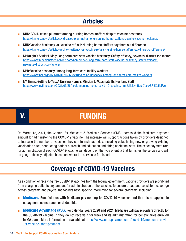#### **Articles**

- KHN: COVID cases plummet among nursing homes staffers despite vaccine hesitancy https://khn.org/news/article/covid-cases-plummet-among-nursing-home-staffers-despite-vaccine-hesitancy/
- KHN: Vaccine hesitancy vs. vaccine refusal: Nursing home staffers say there's a difference https://khn.org/news/article/vaccine-hesitancy-vs-vaccine-refusal-nursing-home-staffers-say-theres-a-difference/
- McKnight's Senior Living: Long-term care staff vaccine hesitancy: Safety, efficacy, newness, distrust top factors https://www.mcknightsseniorliving.com/home/news/long-term-care-staff-vaccine-hesitancy-safety-efficacynewness-distrust-top-factors/
- NPR: Vaccine hesitancy among long-term care facility workers https://www.npr.org/2021/01/31/962638218/vaccine-hesitancy-among-long-term-care-facility-workers
- NY Times: Getting to Yes: A Nursing Home's Mission to Vaccinate Its Hesitant Staff https://www.nytimes.com/2021/03/28/health/nursing-home-covid-19-vaccine.html#click=https://t.co/BR8Xe5aFVg

# **V. FUNDING**

On March 15, 2021, the Centers for Medicare & Medicaid Services (CMS) increased the Medicare payment amount for administering the COVID-19 vaccine. The increase will support actions taken by providers designed to increase the number of vaccines they can furnish each day, including establishing new or growing existing vaccination sites, conducting patient outreach and education and hiring additional staff. The exact payment rate for administration of each COVID-19 vaccine will depend on the type of entity that furnishes the service and will be geographically adjusted based on where the service is furnished.

#### **Coverage of COVID-19 Vaccines**

As a condition of receiving free COVID-19 vaccines from the federal government, vaccine providers are prohibited from charging patients any amount for administration of the vaccine. To ensure broad and consistent coverage across programs and payers, the toolkits have specific information for several programs, including:

- **Medicare.** Beneficiaries with Medicare pay nothing for COVID-19 vaccines and there is no applicable copayment, coinsurance or deductible.
- **Medicare Advantage (MA).** For calendar years 2020 and 2021, Medicare will pay providers directly for the COVID-19 vaccine (if they do not receive it for free) and its administration for beneficiaries enrolled in MA plans. More information is available at https://www.cms.gov/medicare/covid-19/medicare-covid-19-vaccine-shot-payment.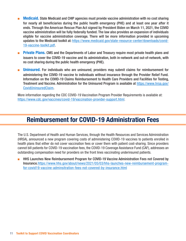- **Medicaid.** State Medicaid and CHIP agencies must provide vaccine administration with no cost sharing for nearly all beneficiaries during the public health emergency (PHE) and at least one year after it ends. Through the American Rescue Plan Act signed by President Biden on March 11, 2021, the COVID vaccine administration will be fully federally funded. The law also provides an expansion of individuals eligible for vaccine administration coverage. There will be more information provided in upcoming updates to the Medicaid toolkit at: https://www.medicaid.gov/state-resource-center/downloads/covid-19-vaccine-toolkit.pdf.
- **Private Plans.** CMS and the Departments of Labor and Treasury require most private health plans and issuers to cover the COVID-19 vaccine and its administration, both in-network and out-of-network, with no cost sharing during the public health emergency (PHE).
- **Uninsured.** For individuals who are uninsured, providers may submit claims for reimbursement for administering the COVID-19 vaccine to individuals without insurance through the Provider Relief Fund. Information on the COVID-19 Claims Reimbursement to Health Care Providers and Facilities for Testing, [Treatment and Vaccine. Administration for the Uninsured Program is available at](https://www.hrsa.gov/CovidUninsuredClaim) https://www.hrsa.gov/ CovidUninsuredClaim.

More information regarding the CDC COVID-19 Vaccination Program Provider Requirements is available at: https://www.cdc.gov/vaccines/covid-19/vaccination-provider-support.html.

#### **Reimbursement for COVID-19 Administration Fees**

The U.S. Department of Health and Human Services, through the Health Resources and Services Administration (HRSA), announced a new program covering costs of administering COVID-19 vaccines to patients enrolled in health plans that either do not cover vaccination fees or cover them with patient cost-sharing. Since providers cannot bill patients for COVID-19 vaccination fees, the COVID-19 Coverage Assistance Fund (CAF), addresses an outstanding compensation need for providers on the front lines vaccinating underinsured patients.

HHS Launches New Reimbursement Program for COVID-19 Vaccine Administration Fees not Covered by Insurance. https://www.hhs.gov/about/news/2021/05/03/hhs-launches-new-reimbursement-programfor-covid19-vaccine-adminsitration-fees-not-covered-by-insurance.html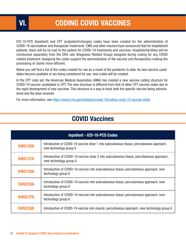ICD-10-PCS (Inpatient) and CPT (outpatient/charges) codes have been created for the administration of COVID-19 vaccinations and therapeutic treatments. CMS and other insurers have announced that for hospitalized patients, there will be no cost to the patient for COVID-19 treatments and vaccines. Hospitals/facilities will be reimbursed separately from the DRG rate (Diagnosis Related Group) assigned during coding for any COVID related treatment. Assigning the codes support the administration of the vaccine and therapeutics making the processing of claims more efficient.

Below you will find a list of the codes created for use as a result of the pandemic to date. As new vaccine candidates become available or are being considered for use, new codes will be created.

In the CPT code set, the American Medical Association (AMA) has created a new vaccine coding structure for COVID-19 vaccine candidates in CPT. The new structure is different from that of other CPT vaccine codes due to the rapid development of new vaccines. This structure is a way to track both the specific vaccine being administered and the dose received.

For more information, see https://www.cms.gov/medicare/covid-19/coding-covid-19-vaccine-shots.

### **COVID Vaccines**

| <b>Inpatient - ICD-10-PCS Codes</b>                                                                                           |                                                                                                                    |  |  |  |
|-------------------------------------------------------------------------------------------------------------------------------|--------------------------------------------------------------------------------------------------------------------|--|--|--|
| <b>XW013S6</b>                                                                                                                | Introduction of COVID-19 vaccine dose 1 into subcutaneous tissue, percutaneous approach,<br>new technology group 6 |  |  |  |
| <b>XW013T6</b>                                                                                                                | Introduction of COVID-19 vaccine dose 2 into subcutaneous tissue, percutaneous approach,<br>new technology group 6 |  |  |  |
| <b>XW013U6</b>                                                                                                                | Introduction of COVID-19 vaccine into subcutaneous tissue, percutaneous approach, new<br>technology group 6        |  |  |  |
| <b>XW023S6</b>                                                                                                                | Introduction of COVID-19 vaccine into subcutaneous tissue, percutaneous approach, new<br>technology group 6        |  |  |  |
| Introduction of COVID-19 vaccine into subcutaneous tissue, percutaneous approach, new<br><b>XW023T6</b><br>technology group 6 |                                                                                                                    |  |  |  |
| <b>XW023U6</b>                                                                                                                | Introduction of COVID-19 vaccine into muscle, percutaneous approach, new technology group 6                        |  |  |  |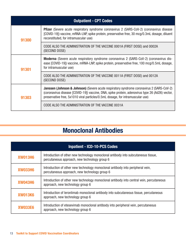| <b>Outpatient - CPT Codes</b> |                                                                                                                                                                                                                                                                                           |  |  |  |
|-------------------------------|-------------------------------------------------------------------------------------------------------------------------------------------------------------------------------------------------------------------------------------------------------------------------------------------|--|--|--|
| 91300                         | <b>Pfizer</b> (Severe acute respiratory syndrome coronavirus 2 (SARS-CoV-2) (coronavirus disease<br>[COVID-19]) vaccine, mRNA-LNP, spike protein, preservative free, 30 mcg/0.3mL dosage, diluent<br>reconstituted, for intramuscular use)                                                |  |  |  |
|                               | CODE ALSO THE ADMINISTRATION OF THE VACCINE 0001A (FIRST DOSE) and 0002A<br>(SECOND DOSE)                                                                                                                                                                                                 |  |  |  |
| 91301                         | Moderna (Severe acute respiratory syndrome coronavirus 2 (SARS-CoV-2) (coronavirus dis-<br>ease [COVID-19]) vaccine, mRNA-LNP, spike protein, preservative free, 100 mcg/0.5mL dosage,<br>for intramuscular use)                                                                          |  |  |  |
|                               | CODE ALSO THE ADMINISTRATION OF THE VACCINE 0011A (FIRST DOSE) and 0012A<br>(SECOND DOSE)                                                                                                                                                                                                 |  |  |  |
| 91303                         | <b>Janssen (Johnson &amp; Johnson)</b> (Severe acute respiratory syndrome coronavirus 2 (SARS-CoV-2)<br>(coronavirus disease [COVID-19]) vaccine, DNA, spike protein, adenovirus type 26 (Ad26) vector,<br>preservative free, 5x1010 viral particles/0.5mL dosage, for intramuscular use) |  |  |  |
|                               | CODE ALSO THE ADMINISTRATION OF THE VACCINE 0031A                                                                                                                                                                                                                                         |  |  |  |

## **Monoclonal Antibodies**

| <b>Inpatient - ICD-10-PCS Codes</b>                                                                                                            |                                                                                                                                     |  |  |
|------------------------------------------------------------------------------------------------------------------------------------------------|-------------------------------------------------------------------------------------------------------------------------------------|--|--|
| <b>XW013H6</b>                                                                                                                                 | Introduction of other new technology monoclonal antibody into subcutaneous tissue.<br>percutaneous approach, new technology group 6 |  |  |
| <b>XW033H6</b>                                                                                                                                 | Introduction of other new technology monoclonal antibody into peripheral vein,<br>percutaneous approach, new technology group 6     |  |  |
| Introduction of other new technology monoclonal antibody into central vein, percutaneous<br><b>XW043H6</b><br>approach, new technology group 6 |                                                                                                                                     |  |  |
| Introduction of leronlimab monoclonal antibody into subcutaneous tissue, percutaneous<br><b>XW013K6</b><br>approach, new technology group 6    |                                                                                                                                     |  |  |
| Introduction of etesevimab monoclonal antibody into peripheral vein, percutaneous<br><b>XW033E6</b><br>approach, new technology group 6        |                                                                                                                                     |  |  |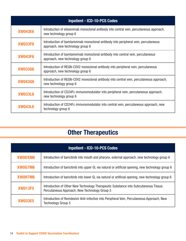| <b>Inpatient - ICD-10-PCS Codes</b>                                                                                                    |                                                                                                                         |  |  |  |
|----------------------------------------------------------------------------------------------------------------------------------------|-------------------------------------------------------------------------------------------------------------------------|--|--|--|
| <b>XW043E6</b>                                                                                                                         | Introduction of etesevimab monoclonal antibody into central vein, percutaneous approach,<br>new technology group 6      |  |  |  |
| <b>XW033F6</b>                                                                                                                         | Introduction of bamlanivimab monoclonal antibody into peripheral vein, percutaneous<br>approach, new technology group 6 |  |  |  |
| Introduction of bamlanivimab monoclonal antibody into central vein, percutaneous<br><b>XW043F6</b><br>approach, new technology group 6 |                                                                                                                         |  |  |  |
| Introduction of REGN-COV2 monoclonal antibody into peripheral vein, percutaneous<br><b>XW033G6</b><br>approach, new technology group 6 |                                                                                                                         |  |  |  |
| Introduction of REGN-COV2 monoclonal antibody into central vein, percutaneous approach,<br><b>XW043G6</b><br>new technology group 6    |                                                                                                                         |  |  |  |
| Introduction of CD24Fc immunomodulator into peripheral vein, percutaneous approach,<br><b>XW033L6</b><br>new technology group 6        |                                                                                                                         |  |  |  |
| Introduction of CD24Fc immunomodulator into central vein, percutaneous approach, new<br><b>XW043L6</b><br>technology group 6           |                                                                                                                         |  |  |  |

# **Other Therapeutics**

| <b>Inpatient - ICD-10-PCS Codes</b> |                                                                                                                                       |  |
|-------------------------------------|---------------------------------------------------------------------------------------------------------------------------------------|--|
| <b>XWODXM6</b>                      | Introduction of baricitinib into mouth and pharynx, external approach, new technology group 6                                         |  |
| XW0G7M6                             | Introduction of baricitinib into upper GI, via natural or artificial opening, new technology group 6                                  |  |
| XW0H7M6                             | Introduction of baricitinib into lower GI, via natural or artificial opening, new technology group 6                                  |  |
| <b>XW013F5</b>                      | Introduction of Other New Technology Therapeutic Substance into Subcutaneous Tissue,<br>Percutaneous Approach, New Technology Group 5 |  |
| <b>XW033E5</b>                      | Introduction of Remdesivir Anti-infective into Peripheral Vein, Percutaneous Approach, New<br>Technology Group 5                      |  |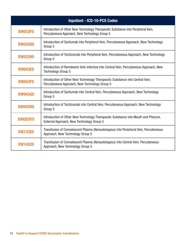| <b>Inpatient - ICD-10-PCS Codes</b>                                                                                                               |                                                                                                                                   |  |  |  |
|---------------------------------------------------------------------------------------------------------------------------------------------------|-----------------------------------------------------------------------------------------------------------------------------------|--|--|--|
| <b>XW033F5</b>                                                                                                                                    | Introduction of Other New Technology Therapeutic Substance into Peripheral Vein,<br>Percutaneous Approach, New Technology Group 5 |  |  |  |
| Introduction of Sarilumab into Peripheral Vein, Percutaneous Approach, New Technology<br><b>XW033G5</b><br>Group 5                                |                                                                                                                                   |  |  |  |
| <b>XW033H5</b>                                                                                                                                    | Introduction of Tocilizumab into Peripheral Vein, Percutaneous Approach, New Technology<br>Group 5                                |  |  |  |
| Introduction of Remdesivir Anti-infective into Central Vein, Percutaneous Approach, New<br><b>XW043E5</b><br><b>Technology Group 5</b>            |                                                                                                                                   |  |  |  |
| Introduction of Other New Technology Therapeutic Substance into Central Vein,<br><b>XW043F5</b><br>Percutaneous Approach, New Technology Group 5  |                                                                                                                                   |  |  |  |
| Introduction of Sarilumab into Central Vein, Percutaneous Approach, New Technology<br><b>XW043G5</b><br>Group 5                                   |                                                                                                                                   |  |  |  |
| Introduction of Tocilizumab into Central Vein, Percutaneous Approach, New Technology<br><b>XW043H5</b><br>Group 5                                 |                                                                                                                                   |  |  |  |
| Introduction of Other New Technology Therapeutic Substance into Mouth and Pharynx,<br><b>XWODXF5</b><br>External Approach, New Technology Group 5 |                                                                                                                                   |  |  |  |
| Transfusion of Convalescent Plasma (Nonautologous) into Peripheral Vein, Percutaneous<br><b>XW13325</b><br>Approach, New Technology Group 5       |                                                                                                                                   |  |  |  |
| Transfusion of Convalescent Plasma (Nonautologous) into Central Vein, Percutaneous<br><b>XW14325</b><br>Approach, New Technology Group 5          |                                                                                                                                   |  |  |  |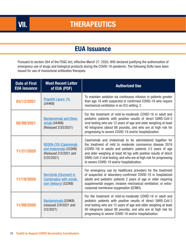#### **EUA Issuance**

Pursuant to section 564 of the FD&C Act, effective March 27, 2020, HHS declared justifying the authorization of emergency use of drugs and biological products during the COVID-19 pandemic. The following EUAs have been issued for use of monoclonal antibodies therapies.

| <b>Date of First</b><br><b>EUA issuance</b> | <b>Most Recent Letter</b><br>of EUA (PDF)                                                      | <b>Authorized Use</b>                                                                                                                                                                                                                                                                                                                                                             |
|---------------------------------------------|------------------------------------------------------------------------------------------------|-----------------------------------------------------------------------------------------------------------------------------------------------------------------------------------------------------------------------------------------------------------------------------------------------------------------------------------------------------------------------------------|
| 03/12/2021                                  | Propofol-Lipuro 1%<br>(344KB)                                                                  | To maintain sedation via continuous infusion in patients greater<br>than age 16 with suspected or confirmed COVID-19 who require<br>mechanical ventilation in an ICU setting. 2                                                                                                                                                                                                   |
| 02/09/2021                                  | <b>Bamlanivimab and Etese-</b><br>$v$ imab (344KB)<br>(Reissued 2/25/2021)                     | For the treatment of mild-to-moderate COVID-19 in adult and<br>pediatric patients with positive results of direct SARS-CoV-2<br>viral testing who are 12 years of age and older weighing at least<br>40 kilograms (about 88 pounds), and who are at high risk for<br>progressing to severe COVID-19 and/or hospitalization.                                                       |
| 11/21/2020                                  | <b>REGEN-COV (Casirivimab</b><br>and Imdevimab) (232KB)<br>(Reissued 2/3/2021 and<br>2/25/2021 | Casirivimab and imdevimab to be administered together for<br>the treatment of mild to moderate coronavirus disease 2019<br>(COVID-19) in adults and pediatric patients (12 years of age<br>and older weighing at least 40 kg) with positive results of direct<br>SARS-CoV-2 viral testing, and who are at high risk for progressing<br>to severe COVID-19 and/or hospitalization. |
| 11/19/2020                                  | Baricitinib (Olumiant) in<br><b>Combination with remde-</b><br>sivir (Veklury) (322KB)         | For emergency use by healthcare providers for the treatment<br>of suspected or laboratory-confirmed COVID-19 in hospitalized<br>adults and pediatric patients 2 years of age or older requiring<br>supplemental oxygen, invasive mechanical ventilation, or extra-<br>corporeal membrane oxygenation (ECMO).                                                                      |
| 11/09/2020                                  | Bamlanivimab (339KB)<br>(reissued 2/9/2021 and<br>3/2/2021                                     | For the treatment of mild-to-moderate COVID-19 in adult and<br>pediatric patients with positive results of direct SARS-CoV-2<br>viral testing who are 12 years of age and older weighing at least<br>40 kilograms (about 88 pounds), and who are at high risk for<br>progressing to severe COVID-19 and/or hospitalization.                                                       |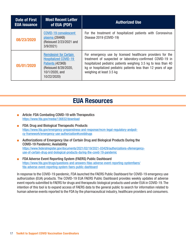| <b>Date of First</b><br><b>EUA</b> issuance | <b>Most Recent Letter</b><br>of EUA (PDF)                                                                                                  | <b>Authorized Use</b>                                                                                                                                                                                                                                                                      |
|---------------------------------------------|--------------------------------------------------------------------------------------------------------------------------------------------|--------------------------------------------------------------------------------------------------------------------------------------------------------------------------------------------------------------------------------------------------------------------------------------------|
| 08/23/2020                                  | <b>COVID-19 convalescent</b><br>plasma (284KB)<br>(Reissued 2/23/2021 and<br>3/9/2021                                                      | For the treatment of hospitalized patients with Coronavirus<br>Disease 2019 (COVID-19)                                                                                                                                                                                                     |
| 05/01/2020                                  | <b>Remdesivir for Certain</b><br><b>Hospitalized COVID-19</b><br>Patients (423KB)<br>(Reissued 8/28/2020,<br>10/1/2020, and<br>10/22/2020) | For emergency use by licensed healthcare providers for the<br>treatment of suspected or laboratory-confirmed COVID-19 in<br>hospitalized pediatric patients weighing 3.5 kg to less than 40<br>kg or hospitalized pediatric patients less than 12 years of age<br>weighing at least 3.5 kg |

#### **EUA Resources**

- Article: FDA Combating COVID-19 with Therapeutics https://www.fda.gov/media/136832/download
- FDA: Drug and Biological Therapeutic Products https://www.fda.gov/emergency-preparedness-and-response/mcm-legal-regulatory-andpolicy-framework/emergency-use-authorization#coviddrugs
- Authorizations of Emergency Use of Certain Drug and Biological Products During the COVID-19 Pandemic; Availability https://www.federalregister.gov/documents/2021/02/19/2021-03429/authorizations-ofemergencyuse-of-certain-drug-and-biological-products-during-the-covid-19-pandemic
- FDA Adverse Event Reporting System (FAERS) Public Dashboard [https://www.fda.gov/drugs/questions-and-answers-fdas-adverse-event-reporting-systemfaers/](https://www.fda.gov/drugs/questions-and-answers-fdas-adverse-event-reporting-system-faers/fda-adverse-event-reporting-system-faers-public-dashboard) fda-adverse-event-reporting-system-faers-public-dashboard

In response to the COVID-19 pandemic, FDA launched the FAERS Public Dashboard for COVID-19 emergency use authorization (EUA) products. The COVID-19 EUA FAERS Public Dashboard provides weekly updates of adverse event reports submitted to FAERS for drugs and therapeutic biological products used under EUA in COVID-19. The intention of this tool is to expand access of FAERS data to the general public to search for information related to human adverse events reported to the FDA by the pharmaceutical industry, healthcare providers and consumers.